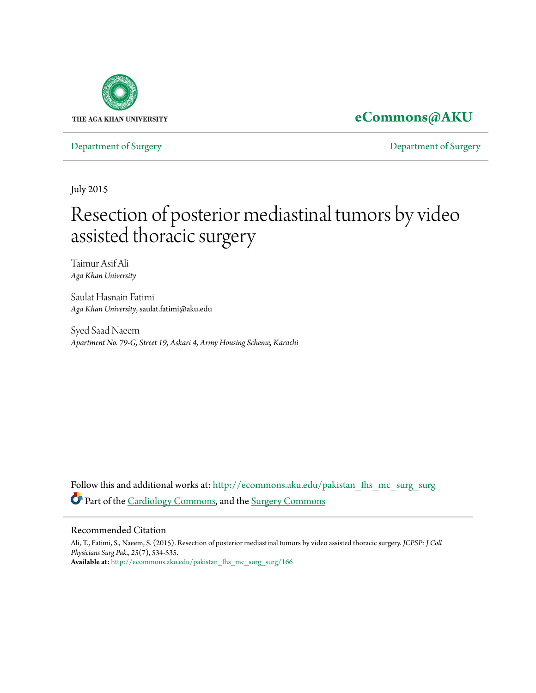

# **[eCommons@AKU](http://ecommons.aku.edu?utm_source=ecommons.aku.edu%2Fpakistan_fhs_mc_surg_surg%2F166&utm_medium=PDF&utm_campaign=PDFCoverPages)**

[Department of Surgery](http://ecommons.aku.edu/pakistan_fhs_mc_surg_surg?utm_source=ecommons.aku.edu%2Fpakistan_fhs_mc_surg_surg%2F166&utm_medium=PDF&utm_campaign=PDFCoverPages) [Department of Surgery](http://ecommons.aku.edu/pakistan_fhs_mc_surg?utm_source=ecommons.aku.edu%2Fpakistan_fhs_mc_surg_surg%2F166&utm_medium=PDF&utm_campaign=PDFCoverPages)

July 2015

# Resection of posterior mediastinal tumors by video assisted thoracic surgery

Taimur Asif Ali *Aga Khan University*

Saulat Hasnain Fatimi *Aga Khan University*, saulat.fatimi@aku.edu

Syed Saad Naeem *Apartment No. 79-G, Street 19, Askari 4, Army Housing Scheme, Karachi*

Follow this and additional works at: [http://ecommons.aku.edu/pakistan\\_fhs\\_mc\\_surg\\_surg](http://ecommons.aku.edu/pakistan_fhs_mc_surg_surg?utm_source=ecommons.aku.edu%2Fpakistan_fhs_mc_surg_surg%2F166&utm_medium=PDF&utm_campaign=PDFCoverPages) Part of the [Cardiology Commons](http://network.bepress.com/hgg/discipline/683?utm_source=ecommons.aku.edu%2Fpakistan_fhs_mc_surg_surg%2F166&utm_medium=PDF&utm_campaign=PDFCoverPages), and the [Surgery Commons](http://network.bepress.com/hgg/discipline/706?utm_source=ecommons.aku.edu%2Fpakistan_fhs_mc_surg_surg%2F166&utm_medium=PDF&utm_campaign=PDFCoverPages)

### Recommended Citation

Ali, T., Fatimi, S., Naeem, S. (2015). Resection of posterior mediastinal tumors by video assisted thoracic surgery. *JCPSP: J Coll Physicians Surg Pak., 25*(7), 534-535. **Available at:** [http://ecommons.aku.edu/pakistan\\_fhs\\_mc\\_surg\\_surg/166](http://ecommons.aku.edu/pakistan_fhs_mc_surg_surg/166)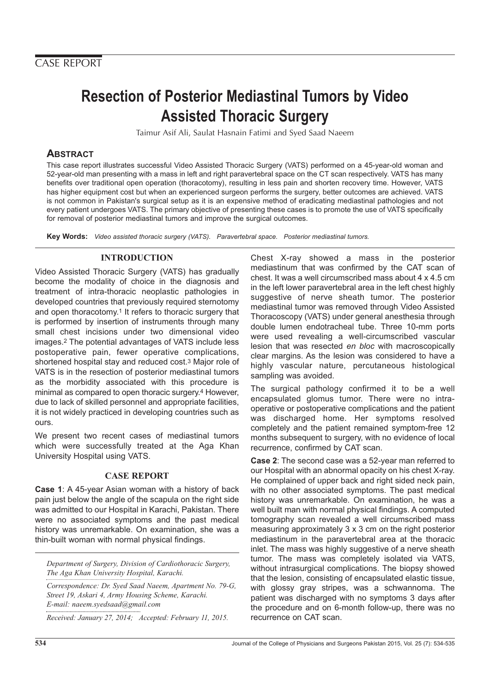# **Resection of Posterior Mediastinal Tumors by Video Assisted Thoracic Surgery**

Taimur Asif Ali, Saulat Hasnain Fatimi and Syed Saad Naeem

# **ABSTRACT**

This case report illustrates successful Video Assisted Thoracic Surgery (VATS) performed on a 45-year-old woman and 52-year-old man presenting with a mass in left and right paravertebral space on the CT scan respectively. VATS has many benefits over traditional open operation (thoracotomy), resulting in less pain and shorten recovery time. However, VATS has higher equipment cost but when an experienced surgeon performs the surgery, better outcomes are achieved. VATS is not common in Pakistan's surgical setup as it is an expensive method of eradicating mediastinal pathologies and not every patient undergoes VATS. The primary objective of presenting these cases is to promote the use of VATS specifically for removal of posterior mediastinal tumors and improve the surgical outcomes.

**Key Words:** Video assisted thoracic surgery (VATS). Paravertebral space. Posterior mediastinal tumors.

# **INTRODUCTION**

Video Assisted Thoracic Surgery (VATS) has gradually become the modality of choice in the diagnosis and treatment of intra-thoracic neoplastic pathologies in developed countries that previously required sternotomy and open thoracotomy.<sup>1</sup> It refers to thoracic surgery that is performed by insertion of instruments through many small chest incisions under two dimensional video images.2 The potential advantages of VATS include less postoperative pain, fewer operative complications, shortened hospital stay and reduced cost.3 Major role of VATS is in the resection of posterior mediastinal tumors as the morbidity associated with this procedure is minimal as compared to open thoracic surgery.4 However, due to lack of skilled personnel and appropriate facilities, it is not widely practiced in developing countries such as ours.

We present two recent cases of mediastinal tumors which were successfully treated at the Aga Khan University Hospital using VATS.

# **CASE REPORT**

**Case 1**: A 45-year Asian woman with a history of back pain just below the angle of the scapula on the right side was admitted to our Hospital in Karachi, Pakistan. There were no associated symptoms and the past medical history was unremarkable. On examination, she was a thin-built woman with normal physical findings.

*Department of Surgery, Division of Cardiothoracic Surgery, The Aga Khan University Hospital, Karachi.*

*Correspondence: Dr. Syed Saad Naeem, Apartment No. 79-G, Street 19, Askari 4, Army Housing Scheme, Karachi. E-mail: naeem.syedsaad@gmail.com*

*Received: January 27, 2014; Accepted: February 11, 2015.*

Chest X-ray showed a mass in the posterior mediastinum that was confirmed by the CAT scan of chest. It was a well circumscribed mass about 4 x 4.5 cm in the left lower paravertebral area in the left chest highly suggestive of nerve sheath tumor. The posterior mediastinal tumor was removed through Video Assisted Thoracoscopy (VATS) under general anesthesia through double lumen endotracheal tube. Three 10-mm ports were used revealing a well-circumscribed vascular lesion that was resected en bloc with macroscopically clear margins. As the lesion was considered to have a highly vascular nature, percutaneous histological sampling was avoided.

The surgical pathology confirmed it to be a well encapsulated glomus tumor. There were no intraoperative or postoperative complications and the patient was discharged home. Her symptoms resolved completely and the patient remained symptom-free 12 months subsequent to surgery, with no evidence of local recurrence, confirmed by CAT scan.

**Case 2**: The second case was a 52-year man referred to our Hospital with an abnormal opacity on his chest X-ray. He complained of upper back and right sided neck pain, with no other associated symptoms. The past medical history was unremarkable. On examination, he was a well built man with normal physical findings. A computed tomography scan revealed a well circumscribed mass measuring approximately 3 x 3 cm on the right posterior mediastinum in the paravertebral area at the thoracic inlet. The mass was highly suggestive of a nerve sheath tumor. The mass was completely isolated via VATS, without intrasurgical complications. The biopsy showed that the lesion, consisting of encapsulated elastic tissue, with glossy gray stripes, was a schwannoma. The patient was discharged with no symptoms 3 days after the procedure and on 6-month follow-up, there was no recurrence on CAT scan.